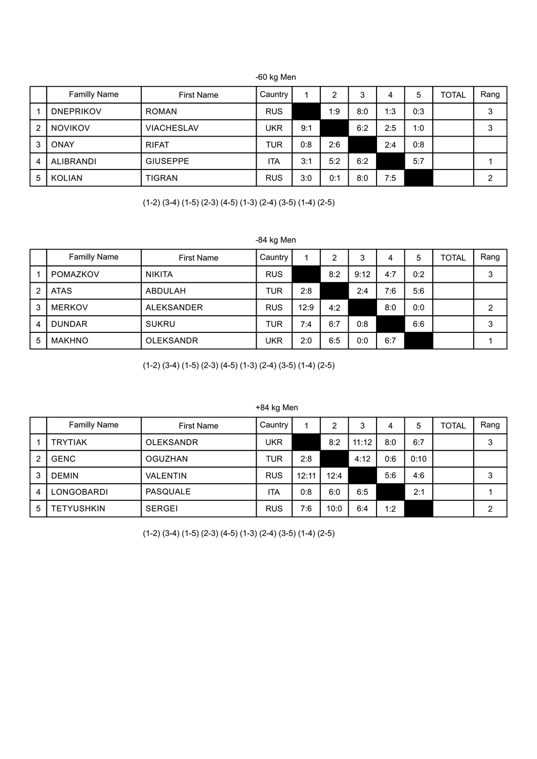| -60 kg Men |  |
|------------|--|
|------------|--|

|   | <b>Familly Name</b> | <b>First Name</b> | Cauntry    |     | 2   | 3   | 4   | 5   | <b>TOTAL</b> | Rang |
|---|---------------------|-------------------|------------|-----|-----|-----|-----|-----|--------------|------|
|   | <b>DNEPRIKOV</b>    | <b>ROMAN</b>      | <b>RUS</b> |     | 1:9 | 8:0 | 1:3 | 0:3 |              | 3    |
| 2 | <b>NOVIKOV</b>      | <b>VIACHESLAV</b> | <b>UKR</b> | 9:1 |     | 6:2 | 2:5 | 1:0 |              | 3    |
| 3 | <b>ONAY</b>         | <b>RIFAT</b>      | TUR        | 0:8 | 2:6 |     | 2:4 | 0:8 |              |      |
| 4 | ALIBRANDI           | <b>GIUSEPPE</b>   | ITA        | 3:1 | 5:2 | 6:2 |     | 5:7 |              |      |
| 5 | <b>KOLIAN</b>       | <b>TIGRAN</b>     | <b>RUS</b> | 3:0 | 0:1 | 8:0 | 7:5 |     |              | 2    |

(1-2) (3-4) (1-5) (2-3) (4-5) (1-3) (2-4) (3-5) (1-4) (2-5)

## -84 kg Men

|   | <b>Familly Name</b> | <b>First Name</b> | Cauntry    |      | ⌒   | 3    | 4   | 5   | <b>TOTAL</b> | Rang          |
|---|---------------------|-------------------|------------|------|-----|------|-----|-----|--------------|---------------|
|   | POMAZKOV            | <b>NIKITA</b>     | <b>RUS</b> |      | 8:2 | 9:12 | 4:7 | 0:2 |              | 3             |
| 2 | <b>ATAS</b>         | ABDULAH           | TUR        | 2:8  |     | 2:4  | 7:6 | 5:6 |              |               |
| 3 | <b>MERKOV</b>       | <b>ALEKSANDER</b> | <b>RUS</b> | 12:9 | 4:2 |      | 8:0 | 0:0 |              | $\mathcal{P}$ |
| 4 | <b>DUNDAR</b>       | <b>SUKRU</b>      | TUR        | 7:4  | 6:7 | 0:8  |     | 6:6 |              | 3             |
| 5 | <b>MAKHNO</b>       | OLEKSANDR         | UKR        | 2:0  | 6:5 | 0:0  | 6:7 |     |              |               |

(1-2) (3-4) (1-5) (2-3) (4-5) (1-3) (2-4) (3-5) (1-4) (2-5)

|                | <b>Familly Name</b> | <b>First Name</b> | Cauntry    |       | າ    | 3     | 4   | 5    | TOTAL | Rang |
|----------------|---------------------|-------------------|------------|-------|------|-------|-----|------|-------|------|
|                | <b>TRYTIAK</b>      | <b>OLEKSANDR</b>  | UKR        |       | 8:2  | 11:12 | 8:0 | 6:7  |       | 3    |
| $\overline{2}$ | <b>GENC</b>         | <b>OGUZHAN</b>    | TUR        | 2:8   |      | 4:12  | 0:6 | 0:10 |       |      |
| 3              | <b>DEMIN</b>        | <b>VALENTIN</b>   | <b>RUS</b> | 12:11 | 12:4 |       | 5:6 | 4:6  |       | 3    |
| 4              | LONGOBARDI          | PASQUALE          | 'TA        | 0:8   | 6:0  | 6:5   |     | 2:1  |       |      |
| 5              | <b>TETYUSHKIN</b>   | <b>SERGEI</b>     | <b>RUS</b> | 7:6   | 10:0 | 6:4   | 1:2 |      |       | າ    |

(1-2) (3-4) (1-5) (2-3) (4-5) (1-3) (2-4) (3-5) (1-4) (2-5)